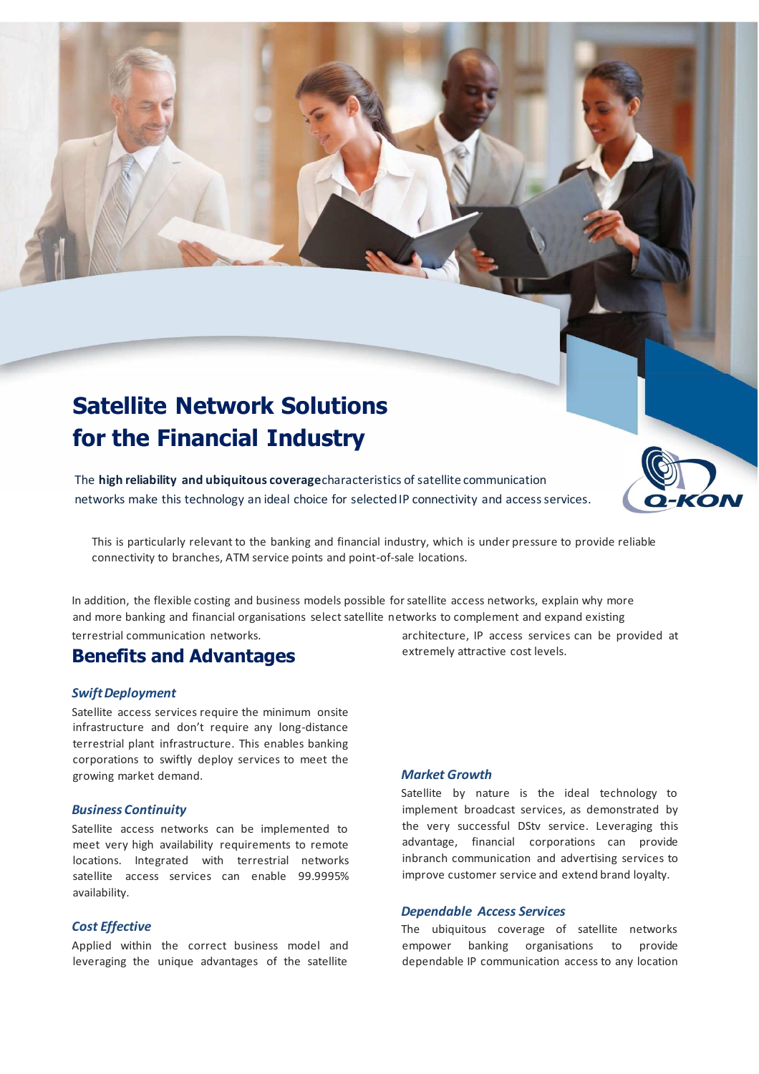# **Satellite Network Solutions for the Financial Industry**

The **high reliability and ubiquitous coverage**characteristics of satellite communication networks make this technology an ideal choice for selected IP connectivity and access services.

This is particularly relevant to the banking and financial industry, which is under pressure to provide reliable connectivity to branches, ATM service points and point-of-sale locations.

In addition, the flexible costing and business models possible for satellite access networks, explain why more and more banking and financial organisations select satellite networks to complement and expand existing terrestrial communication networks.

## **Benefits and Advantages**

### *Swift Deployment*

Satellite access services require the minimum onsite infrastructure and don't require any long-distance terrestrial plant infrastructure. This enables banking corporations to swiftly deploy services to meet the growing market demand.

### *Business Continuity*

Satellite access networks can be implemented to meet very high availability requirements to remote locations. Integrated with terrestrial networks satellite access services can enable 99.9995% availability.

### *Cost Effective*

Applied within the correct business model and leveraging the unique advantages of the satellite

architecture, IP access services can be provided at extremely attractive cost levels.

### *Market Growth*

Satellite by nature is the ideal technology to implement broadcast services, as demonstrated by the very successful DStv service. Leveraging this advantage, financial corporations can provide inbranch communication and advertising services to improve customer service and extend brand loyalty.

### *Dependable Access Services*

The ubiquitous coverage of satellite networks empower banking organisations to provide dependable IP communication access to any location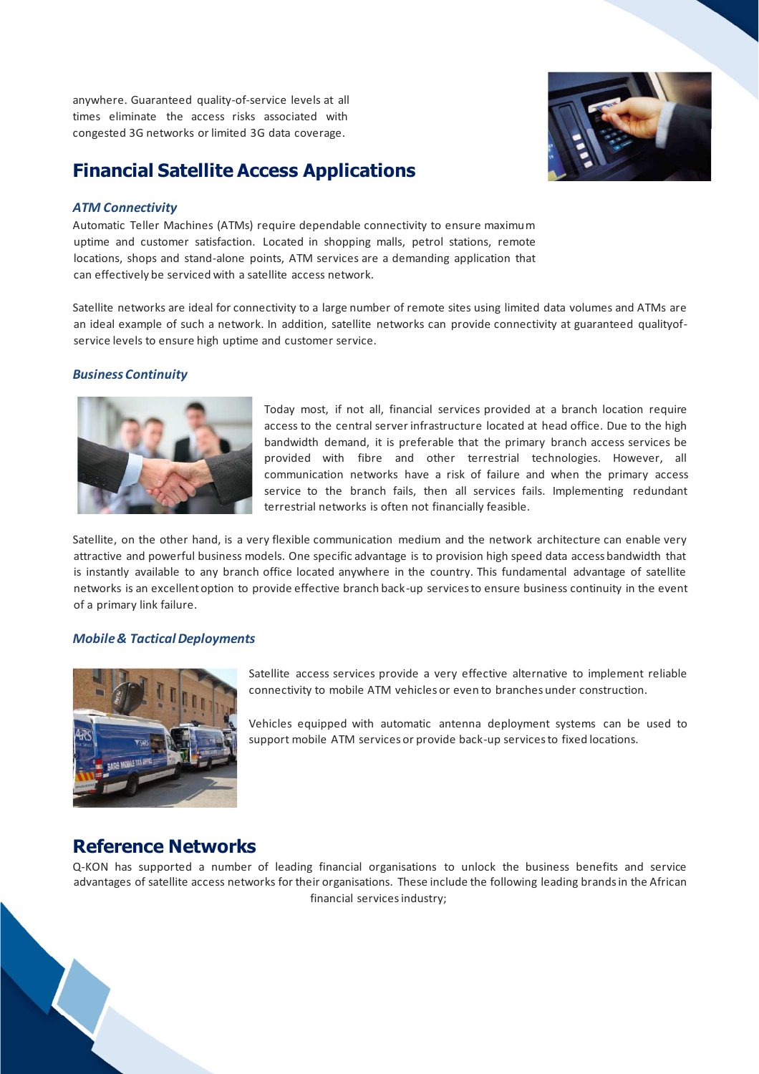anywhere. Guaranteed quality-of-service levels at all times eliminate the access risks associated with congested 3G networks or limited 3G data coverage.

## **Financial Satellite Access Applications**

### *ATM Connectivity*

Automatic Teller Machines (ATMs) require dependable connectivity to ensure maximum uptime and customer satisfaction. Located in shopping malls, petrol stations, remote locations, shops and stand-alone points, ATM services are a demanding application that can effectively be serviced with a satellite access network.

Satellite networks are ideal for connectivity to a large number of remote sites using limited data volumes and ATMs are an ideal example of such a network. In addition, satellite networks can provide connectivity at guaranteed qualityofservice levels to ensure high uptime and customer service.

### *Business Continuity*



Today most, if not all, financial services provided at a branch location require access to the central server infrastructure located at head office. Due to the high bandwidth demand, it is preferable that the primary branch access services be provided with fibre and other terrestrial technologies. However, all communication networks have a risk of failure and when the primary access service to the branch fails, then all services fails. Implementing redundant terrestrial networks is often not financially feasible.

Satellite, on the other hand, is a very flexible communication medium and the network architecture can enable very attractive and powerful business models. One specific advantage is to provision high speed data access bandwidth that is instantly available to any branch office located anywhere in the country. This fundamental advantage of satellite networks is an excellent option to provide effective branch back-up services to ensure business continuity in the event of a primary link failure.

### *Mobile & Tactical Deployments*



Satellite access services provide a very effective alternative to implement reliable connectivity to mobile ATM vehicles or even to branches under construction.

Vehicles equipped with automatic antenna deployment systems can be used to support mobile ATM services or provide back-up services to fixed locations.

## **Reference Networks**

Q-KON has supported a number of leading financial organisations to unlock the business benefits and service advantages of satellite access networks for their organisations. These include the following leading brands in the African financial services industry;